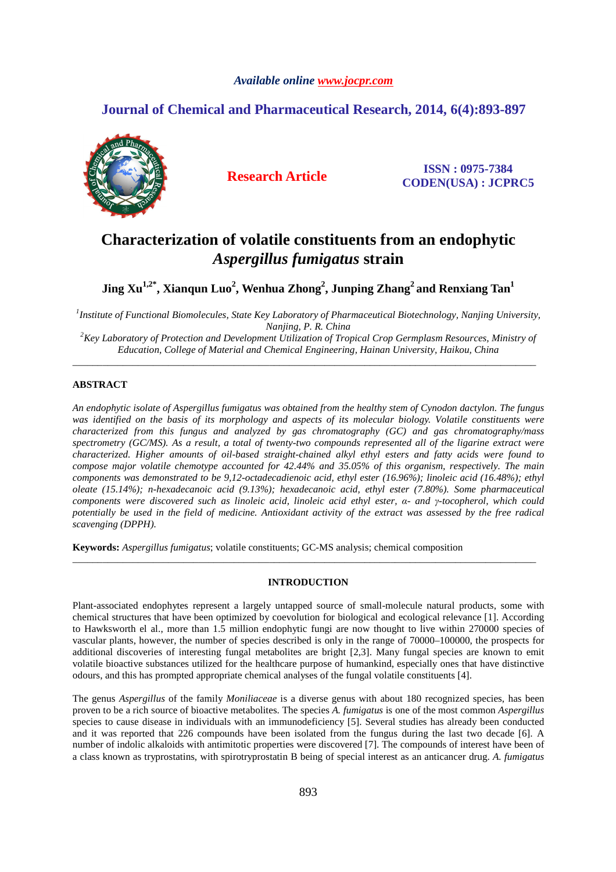## *Available online www.jocpr.com*

## **Journal of Chemical and Pharmaceutical Research, 2014, 6(4):893-897**



**Research Article ISSN : 0975-7384 CODEN(USA) : JCPRC5**

# **Characterization of volatile constituents from an endophytic**  *Aspergillus fumigatus* **strain**

**Jing Xu1,2\*, Xianqun Luo<sup>2</sup> , Wenhua Zhong<sup>2</sup> , Junping Zhang<sup>2</sup>and Renxiang Tan<sup>1</sup>**

*1 Institute of Functional Biomolecules, State Key Laboratory of Pharmaceutical Biotechnology, Nanjing University, Nanjing, P. R. China*

*<sup>2</sup>Key Laboratory of Protection and Development Utilization of Tropical Crop Germplasm Resources, Ministry of Education, College of Material and Chemical Engineering, Hainan University, Haikou, China*  \_\_\_\_\_\_\_\_\_\_\_\_\_\_\_\_\_\_\_\_\_\_\_\_\_\_\_\_\_\_\_\_\_\_\_\_\_\_\_\_\_\_\_\_\_\_\_\_\_\_\_\_\_\_\_\_\_\_\_\_\_\_\_\_\_\_\_\_\_\_\_\_\_\_\_\_\_\_\_\_\_\_\_\_\_\_\_\_\_\_\_\_

## **ABSTRACT**

*An endophytic isolate of Aspergillus fumigatus was obtained from the healthy stem of Cynodon dactylon. The fungus was identified on the basis of its morphology and aspects of its molecular biology. Volatile constituents were characterized from this fungus and analyzed by gas chromatography (GC) and gas chromatography/mass spectrometry (GC/MS). As a result, a total of twenty-two compounds represented all of the ligarine extract were characterized. Higher amounts of oil-based straight-chained alkyl ethyl esters and fatty acids were found to compose major volatile chemotype accounted for 42.44% and 35.05% of this organism, respectively. The main components was demonstrated to be 9,12-octadecadienoic acid, ethyl ester (16.96%); linoleic acid (16.48%); ethyl oleate (15.14%); n-hexadecanoic acid (9.13%); hexadecanoic acid, ethyl ester (7.80%). Some pharmaceutical components were discovered such as linoleic acid, linoleic acid ethyl ester, α- and γ-tocopherol, which could potentially be used in the field of medicine. Antioxidant activity of the extract was assessed by the free radical scavenging (DPPH).* 

**Keywords:** *Aspergillus fumigatus*; volatile constituents; GC-MS analysis; chemical composition

## **INTRODUCTION**

\_\_\_\_\_\_\_\_\_\_\_\_\_\_\_\_\_\_\_\_\_\_\_\_\_\_\_\_\_\_\_\_\_\_\_\_\_\_\_\_\_\_\_\_\_\_\_\_\_\_\_\_\_\_\_\_\_\_\_\_\_\_\_\_\_\_\_\_\_\_\_\_\_\_\_\_\_\_\_\_\_\_\_\_\_\_\_\_\_\_\_\_

Plant-associated endophytes represent a largely untapped source of small-molecule natural products, some with chemical structures that have been optimized by coevolution for biological and ecological relevance [1]. According to Hawksworth el al., more than 1.5 million endophytic fungi are now thought to live within 270000 species of vascular plants, however, the number of species described is only in the range of 70000–100000, the prospects for additional discoveries of interesting fungal metabolites are bright [2,3]. Many fungal species are known to emit volatile bioactive substances utilized for the healthcare purpose of humankind, especially ones that have distinctive odours, and this has prompted appropriate chemical analyses of the fungal volatile constituents [4].

The genus *Aspergillus* of the family *Moniliaceae* is a diverse genus with about 180 recognized species, has been proven to be a rich source of bioactive metabolites. The species *A. fumigatus* is one of the most common *Aspergillus*  species to cause disease in individuals with an immunodeficiency [5]. Several studies has already been conducted and it was reported that 226 compounds have been isolated from the fungus during the last two decade [6]. A number of indolic alkaloids with antimitotic properties were discovered [7]. The compounds of interest have been of a class known as tryprostatins, with spirotryprostatin B being of special interest as an anticancer drug. *A. fumigatus*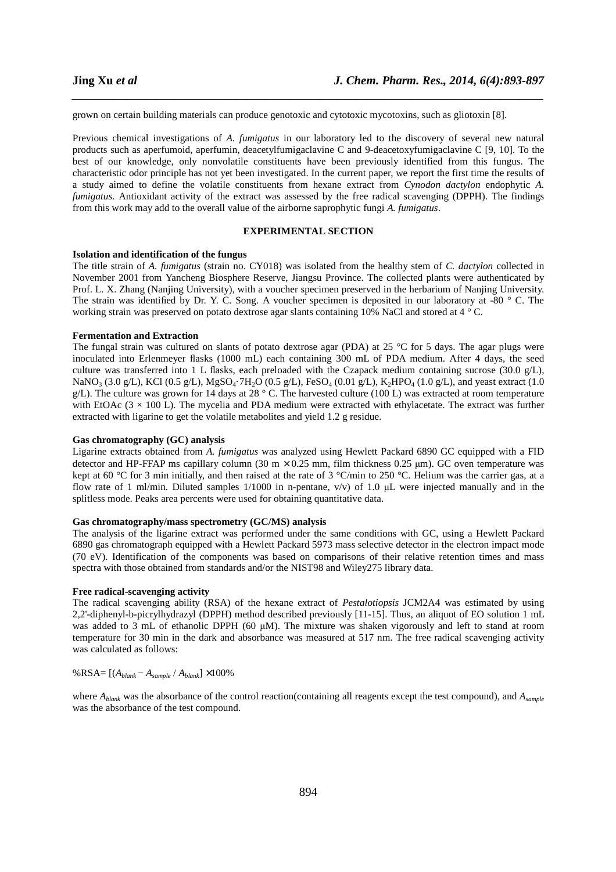grown on certain building materials can produce genotoxic and cytotoxic mycotoxins, such as gliotoxin [8].

Previous chemical investigations of *A. fumigatus* in our laboratory led to the discovery of several new natural products such as aperfumoid, aperfumin, deacetylfumigaclavine C and 9-deacetoxyfumigaclavine C [9, 10]. To the best of our knowledge, only nonvolatile constituents have been previously identified from this fungus. The characteristic odor principle has not yet been investigated. In the current paper, we report the first time the results of a study aimed to define the volatile constituents from hexane extract from *Cynodon dactylon* endophytic *A. fumigatus*. Antioxidant activity of the extract was assessed by the free radical scavenging (DPPH). The findings from this work may add to the overall value of the airborne saprophytic fungi *A. fumigatus*.

*\_\_\_\_\_\_\_\_\_\_\_\_\_\_\_\_\_\_\_\_\_\_\_\_\_\_\_\_\_\_\_\_\_\_\_\_\_\_\_\_\_\_\_\_\_\_\_\_\_\_\_\_\_\_\_\_\_\_\_\_\_\_\_\_\_\_\_\_\_\_\_\_\_\_\_\_\_\_*

#### **EXPERIMENTAL SECTION**

#### **Isolation and identification of the fungus**

The title strain of *A. fumigatus* (strain no. CY018) was isolated from the healthy stem of *C. dactylon* collected in November 2001 from Yancheng Biosphere Reserve, Jiangsu Province. The collected plants were authenticated by Prof. L. X. Zhang (Nanjing University), with a voucher specimen preserved in the herbarium of Nanjing University. The strain was identified by Dr. Y. C. Song. A voucher specimen is deposited in our laboratory at -80 ° C. The working strain was preserved on potato dextrose agar slants containing 10% NaCl and stored at 4 ° C.

#### **Fermentation and Extraction**

The fungal strain was cultured on slants of potato dextrose agar (PDA) at 25  $\degree$ C for 5 days. The agar plugs were inoculated into Erlenmeyer flasks (1000 mL) each containing 300 mL of PDA medium. After 4 days, the seed culture was transferred into 1 L flasks, each preloaded with the Czapack medium containing sucrose (30.0 g/L), NaNO<sub>3</sub> (3.0 g/L), KCl (0.5 g/L), MgSO<sub>4</sub>·7H<sub>2</sub>O (0.5 g/L), FeSO<sub>4</sub> (0.01 g/L), K<sub>2</sub>HPO<sub>4</sub> (1.0 g/L), and yeast extract (1.0 g/L). The culture was grown for 14 days at 28  $^{\circ}$  C. The harvested culture (100 L) was extracted at room temperature with EtOAc  $(3 \times 100)$ . The mycelia and PDA medium were extracted with ethylacetate. The extract was further extracted with ligarine to get the volatile metabolites and yield 1.2 g residue.

#### **Gas chromatography (GC) analysis**

Ligarine extracts obtained from *A. fumigatus* was analyzed using Hewlett Packard 6890 GC equipped with a FID detector and HP-FFAP ms capillary column (30 m × 0.25 mm, film thickness 0.25 µm). GC oven temperature was kept at 60 °C for 3 min initially, and then raised at the rate of 3 °C/min to 250 °C. Helium was the carrier gas, at a flow rate of 1 ml/min. Diluted samples  $1/1000$  in n-pentane,  $v/v$  of 1.0 µL were injected manually and in the splitless mode. Peaks area percents were used for obtaining quantitative data.

#### **Gas chromatography/mass spectrometry (GC/MS) analysis**

The analysis of the ligarine extract was performed under the same conditions with GC, using a Hewlett Packard 6890 gas chromatograph equipped with a Hewlett Packard 5973 mass selective detector in the electron impact mode (70 eV). Identification of the components was based on comparisons of their relative retention times and mass spectra with those obtained from standards and/or the NIST98 and Wiley275 library data.

#### **Free radical-scavenging activity**

The radical scavenging ability (RSA) of the hexane extract of *Pestalotiopsis* JCM2A4 was estimated by using 2,2'-diphenyl-b-picrylhydrazyl (DPPH) method described previously [11-15]. Thus, an aliquot of EO solution 1 mL was added to 3 mL of ethanolic DPPH (60 µM). The mixture was shaken vigorously and left to stand at room temperature for 30 min in the dark and absorbance was measured at 517 nm. The free radical scavenging activity was calculated as follows:

## %RSA= [(*Ablank* − *Asample* / *Ablank*] ×100%

where *Ablank* was the absorbance of the control reaction(containing all reagents except the test compound), and *Asample* was the absorbance of the test compound.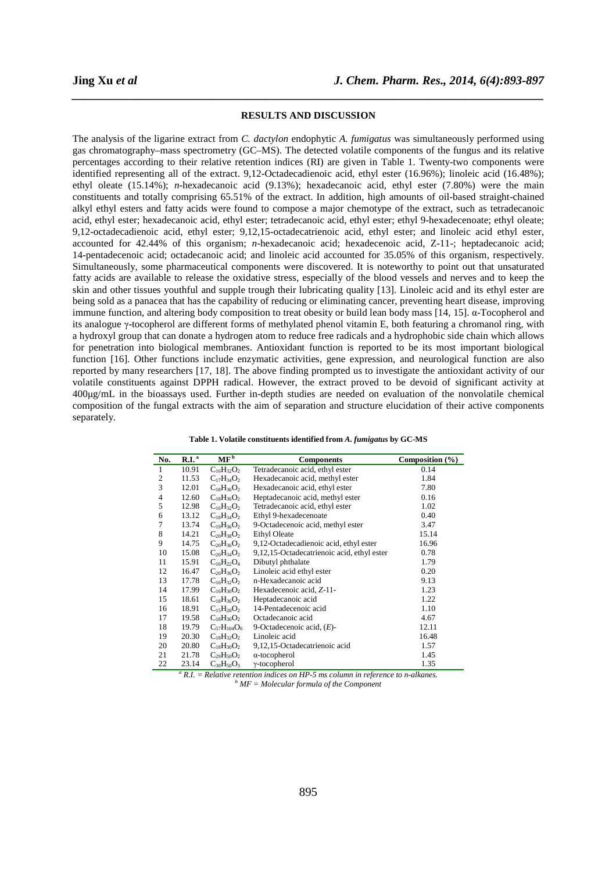#### **RESULTS AND DISCUSSION**

*\_\_\_\_\_\_\_\_\_\_\_\_\_\_\_\_\_\_\_\_\_\_\_\_\_\_\_\_\_\_\_\_\_\_\_\_\_\_\_\_\_\_\_\_\_\_\_\_\_\_\_\_\_\_\_\_\_\_\_\_\_\_\_\_\_\_\_\_\_\_\_\_\_\_\_\_\_\_*

The analysis of the ligarine extract from *C. dactylon* endophytic *A. fumigatus* was simultaneously performed using gas chromatography–mass spectrometry (GC–MS). The detected volatile components of the fungus and its relative percentages according to their relative retention indices (RI) are given in Table 1. Twenty-two components were identified representing all of the extract. 9,12-Octadecadienoic acid, ethyl ester (16.96%); linoleic acid (16.48%); ethyl oleate (15.14%); *n*-hexadecanoic acid (9.13%); hexadecanoic acid, ethyl ester (7.80%) were the main constituents and totally comprising 65.51% of the extract. In addition, high amounts of oil-based straight-chained alkyl ethyl esters and fatty acids were found to compose a major chemotype of the extract, such as tetradecanoic acid, ethyl ester; hexadecanoic acid, ethyl ester; tetradecanoic acid, ethyl ester; ethyl 9-hexadecenoate; ethyl oleate; 9,12-octadecadienoic acid, ethyl ester; 9,12,15-octadecatrienoic acid, ethyl ester; and linoleic acid ethyl ester, accounted for 42.44% of this organism; *n*-hexadecanoic acid; hexadecenoic acid, Z-11-; heptadecanoic acid; 14-pentadecenoic acid; octadecanoic acid; and linoleic acid accounted for 35.05% of this organism, respectively. Simultaneously, some pharmaceutical components were discovered. It is noteworthy to point out that unsaturated fatty acids are available to release the oxidative stress, especially of the blood vessels and nerves and to keep the skin and other tissues youthful and supple trough their lubricating quality [13]. Linoleic acid and its ethyl ester are being sold as a panacea that has the capability of reducing or eliminating cancer, preventing heart disease, improving immune function, and altering body composition to treat obesity or build lean body mass [14, 15]. α-Tocopherol and its analogue γ-tocopherol are different forms of methylated phenol vitamin E, both featuring a chromanol ring, with a hydroxyl group that can donate a hydrogen atom to reduce free radicals and a hydrophobic side chain which allows for penetration into biological membranes. Antioxidant function is reported to be its most important biological function [16]. Other functions include enzymatic activities, gene expression, and neurological function are also reported by many researchers [17, 18]. The above finding prompted us to investigate the antioxidant activity of our volatile constituents against DPPH radical. However, the extract proved to be devoid of significant activity at 400µg/mL in the bioassays used. Further in-depth studies are needed on evaluation of the nonvolatile chemical composition of the fungal extracts with the aim of separation and structure elucidation of their active components separately.

| No.            | $R.I.$ <sup>a</sup> | $\mathbf{MF}^{\mathbf{b}}$ | <b>Components</b>                          | Composition $(\% )$ |
|----------------|---------------------|----------------------------|--------------------------------------------|---------------------|
| 1              | 10.91               |                            |                                            | 0.14                |
|                |                     | $C_{16}H_{32}O_2$          | Tetradecanoic acid, ethyl ester            |                     |
| $\overline{2}$ | 11.53               | $C_{17}H_{34}O_2$          | Hexadecanoic acid, methyl ester            | 1.84                |
| 3              | 12.01               | $C_{18}H_{36}O_2$          | Hexadecanoic acid, ethyl ester             | 7.80                |
| 4              | 12.60               | $C_{18}H_{36}O_2$          | Heptadecanoic acid, methyl ester           | 0.16                |
| 5              | 12.98               | $C_{16}H_{32}O_2$          | Tetradecanoic acid, ethyl ester            | 1.02                |
| 6              | 13.12               | $C_{18}H_{34}O_2$          | Ethyl 9-hexadecenoate                      | 0.40                |
| 7              | 13.74               | $C_{19}H_{36}O_2$          | 9-Octadecenoic acid, methyl ester          | 3.47                |
| 8              | 14.21               | $C_{20}H_{38}O_2$          | <b>Ethyl Oleate</b>                        | 15.14               |
| 9              | 14.75               | $C_{20}H_{36}O_2$          | 9,12-Octadecadienoic acid, ethyl ester     | 16.96               |
| 10             | 15.08               | $C_{20}H_{34}O_2$          | 9,12,15-Octadecatrienoic acid, ethyl ester | 0.78                |
| 11             | 15.91               | $C_{16}H_{22}O_4$          | Dibutyl phthalate                          | 1.79                |
| 12             | 16.47               | $C_{20}H_{36}O_2$          | Linoleic acid ethyl ester                  | 0.20                |
| 13             | 17.78               | $C_{16}H_{32}O_2$          | n-Hexadecanoic acid                        | 9.13                |
| 14             | 17.99               | $C_{16}H_{30}O_2$          | Hexadecenoic acid, Z-11-                   | 1.23                |
| 15             | 18.61               | $C_{18}H_{36}O_2$          | Heptadecanoic acid                         | 1.22                |
| 16             | 18.91               | $C_{15}H_{28}O_2$          | 14-Pentadecenoic acid                      | 1.10                |
| 17             | 19.58               | $C_{18}H_{36}O_2$          | Octadecanoic acid                          | 4.67                |
| 18             | 19.79               | $C_{57}H_{104}O_6$         | 9-Octadecenoic acid, $(E)$ -               | 12.11               |
| 19             | 20.30               | $C_{18}H_{32}O_2$          | Linoleic acid                              | 16.48               |
| 20             | 20.80               | $C_{18}H_{30}O_2$          | 9,12,15-Octadecatrienoic acid              | 1.57                |
| 21             | 21.78               | $C_{29}H_{50}O_2$          | $\alpha$ -tocopherol                       | 1.45                |
| 22             | 23.14               | $C_{30}H_{50}O_3$          | $\gamma$ -tocopherol                       | 1.35                |

**Table 1. Volatile constituents identified from** *A. fumigatus* **by GC-MS** 

<sup>*a*</sup> *R.I.* = *Relative retention indices on HP-5 ms column in reference to n-alkanes. b MF = Molecular formula of the Component*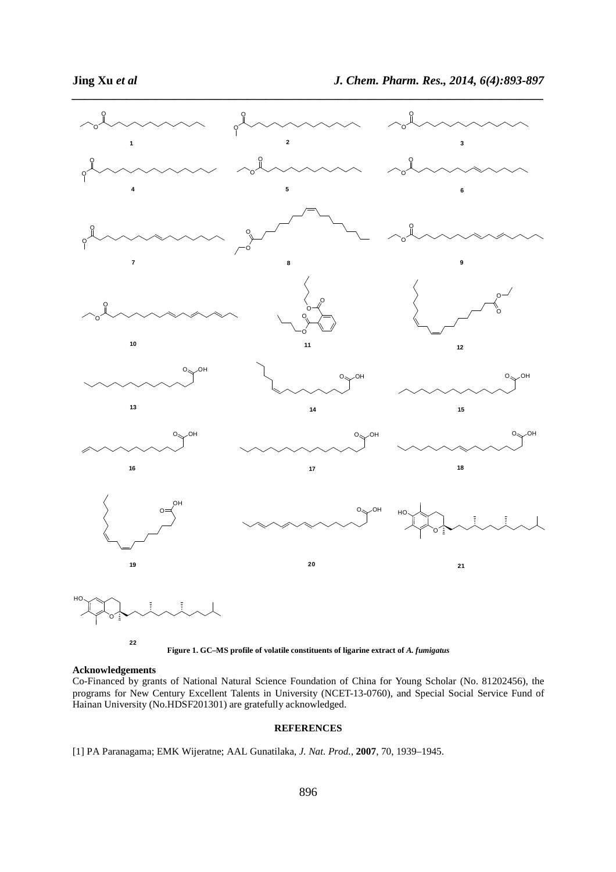

*\_\_\_\_\_\_\_\_\_\_\_\_\_\_\_\_\_\_\_\_\_\_\_\_\_\_\_\_\_\_\_\_\_\_\_\_\_\_\_\_\_\_\_\_\_\_\_\_\_\_\_\_\_\_\_\_\_\_\_\_\_\_\_\_\_\_\_\_\_\_\_\_\_\_\_\_\_\_*

**Figure 1. GC–MS profile of volatile constituents of ligarine extract of** *A. fumigatus* 

#### **Acknowledgements**

Co-Financed by grants of National Natural Science Foundation of China for Young Scholar (No. 81202456), the programs for New Century Excellent Talents in University (NCET-13-0760), and Special Social Service Fund of Hainan University (No.HDSF201301) are gratefully acknowledged.

### **REFERENCES**

[1] PA Paranagama; EMK Wijeratne; AAL Gunatilaka, *J. Nat. Prod.*, **2007**, 70, 1939–1945.